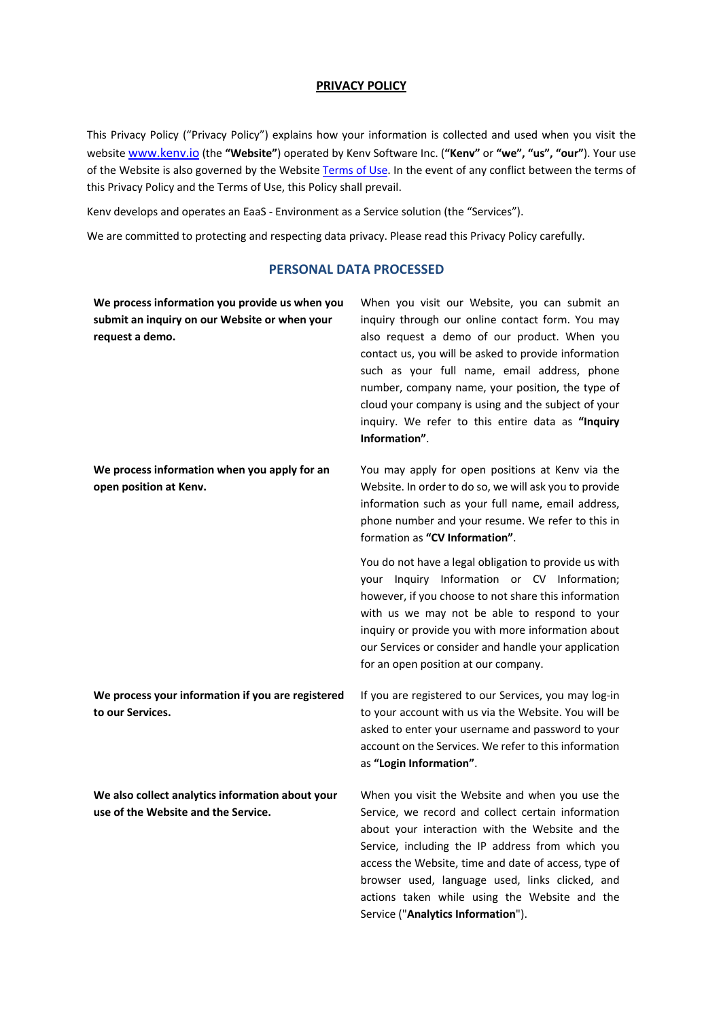#### **PRIVACY POLICY**

This Privacy Policy ("Privacy Policy") explains how your information is collected and used when you visit the website www.kenv.io (the **"Website"**) operated by Kenv Software Inc. (**"Kenv"** or **"we", "us", "our"**). Your use of the Website is also governed by the Website Terms of Use. In the event of any conflict between the terms of this Privacy Policy and the Terms of Use, this Policy shall prevail.

Kenv develops and operates an EaaS - Environment as a Service solution (the "Services").

We are committed to protecting and respecting data privacy. Please read this Privacy Policy carefully.

#### **PERSONAL DATA PROCESSED**

| We process information you provide us when you<br>submit an inquiry on our Website or when your<br>request a demo. | When you visit our Website, you can submit an<br>inquiry through our online contact form. You may<br>also request a demo of our product. When you<br>contact us, you will be asked to provide information<br>such as your full name, email address, phone<br>number, company name, your position, the type of<br>cloud your company is using and the subject of your<br>inquiry. We refer to this entire data as "Inquiry<br>Information". |
|--------------------------------------------------------------------------------------------------------------------|--------------------------------------------------------------------------------------------------------------------------------------------------------------------------------------------------------------------------------------------------------------------------------------------------------------------------------------------------------------------------------------------------------------------------------------------|
| We process information when you apply for an<br>open position at Kenv.                                             | You may apply for open positions at Kenv via the<br>Website. In order to do so, we will ask you to provide<br>information such as your full name, email address,<br>phone number and your resume. We refer to this in<br>formation as "CV Information".                                                                                                                                                                                    |
|                                                                                                                    | You do not have a legal obligation to provide us with<br>your Inquiry Information or CV Information;<br>however, if you choose to not share this information<br>with us we may not be able to respond to your<br>inquiry or provide you with more information about<br>our Services or consider and handle your application<br>for an open position at our company.                                                                        |
| We process your information if you are registered<br>to our Services.                                              | If you are registered to our Services, you may log-in<br>to your account with us via the Website. You will be<br>asked to enter your username and password to your<br>account on the Services. We refer to this information<br>as "Login Information".                                                                                                                                                                                     |
| We also collect analytics information about your<br>use of the Website and the Service.                            | When you visit the Website and when you use the<br>Service, we record and collect certain information<br>about your interaction with the Website and the<br>Service, including the IP address from which you<br>access the Website, time and date of access, type of<br>browser used, language used, links clicked, and<br>actions taken while using the Website and the                                                                   |

Service ("**Analytics Information**").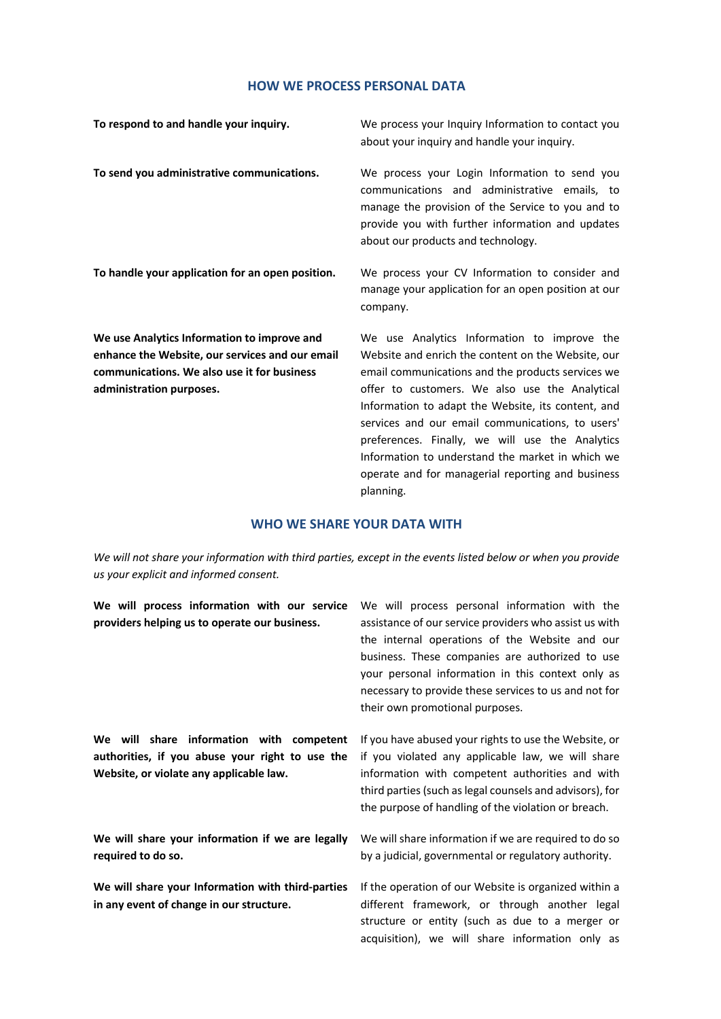## **HOW WE PROCESS PERSONAL DATA**

| To respond to and handle your inquiry.                                                                                                                                    | We process your Inquiry Information to contact you<br>about your inquiry and handle your inquiry.                                                                                                                                                                                                                                                                                                                                                                              |
|---------------------------------------------------------------------------------------------------------------------------------------------------------------------------|--------------------------------------------------------------------------------------------------------------------------------------------------------------------------------------------------------------------------------------------------------------------------------------------------------------------------------------------------------------------------------------------------------------------------------------------------------------------------------|
| To send you administrative communications.                                                                                                                                | We process your Login Information to send you<br>communications and administrative emails, to<br>manage the provision of the Service to you and to<br>provide you with further information and updates<br>about our products and technology.                                                                                                                                                                                                                                   |
| To handle your application for an open position.                                                                                                                          | We process your CV Information to consider and<br>manage your application for an open position at our<br>company.                                                                                                                                                                                                                                                                                                                                                              |
| We use Analytics Information to improve and<br>enhance the Website, our services and our email<br>communications. We also use it for business<br>administration purposes. | We use Analytics Information to improve the<br>Website and enrich the content on the Website, our<br>email communications and the products services we<br>offer to customers. We also use the Analytical<br>Information to adapt the Website, its content, and<br>services and our email communications, to users'<br>preferences. Finally, we will use the Analytics<br>Information to understand the market in which we<br>operate and for managerial reporting and business |

# **WHO WE SHARE YOUR DATA WITH**

planning.

*We will not share your information with third parties, except in the events listed below or when you provide us your explicit and informed consent.* 

| We will process information with our service                                                                                           | We will process personal information with the                                                                                                                                                                                                                                                                |
|----------------------------------------------------------------------------------------------------------------------------------------|--------------------------------------------------------------------------------------------------------------------------------------------------------------------------------------------------------------------------------------------------------------------------------------------------------------|
| providers helping us to operate our business.                                                                                          | assistance of our service providers who assist us with<br>the internal operations of the Website and our<br>business. These companies are authorized to use<br>your personal information in this context only as<br>necessary to provide these services to us and not for<br>their own promotional purposes. |
| We will share information with competent<br>authorities, if you abuse your right to use the<br>Website, or violate any applicable law. | If you have abused your rights to use the Website, or<br>if you violated any applicable law, we will share<br>information with competent authorities and with<br>third parties (such as legal counsels and advisors), for<br>the purpose of handling of the violation or breach.                             |
| We will share your information if we are legally<br>required to do so.                                                                 | We will share information if we are required to do so<br>by a judicial, governmental or regulatory authority.                                                                                                                                                                                                |
| We will share your Information with third-parties<br>in any event of change in our structure.                                          | If the operation of our Website is organized within a<br>different framework, or through another legal<br>structure or entity (such as due to a merger or<br>acquisition), we will share information only as                                                                                                 |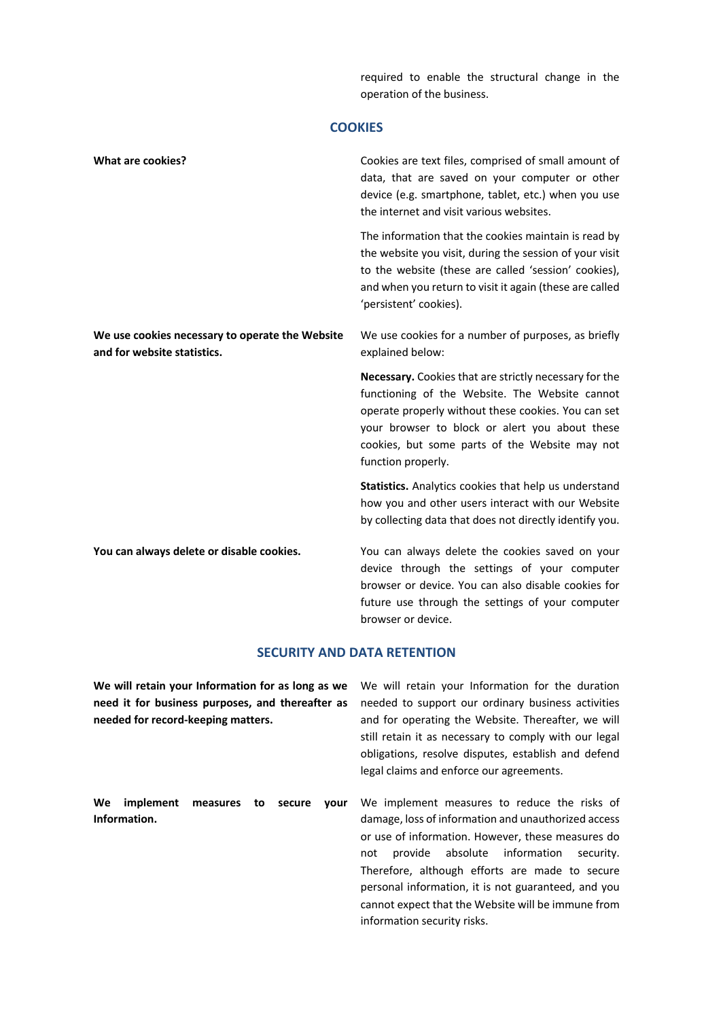required to enable the structural change in the operation of the business.

# **COOKIES**

| <b>What are cookies?</b>                                                       | Cookies are text files, comprised of small amount of<br>data, that are saved on your computer or other<br>device (e.g. smartphone, tablet, etc.) when you use<br>the internet and visit various websites.                                                                                 |
|--------------------------------------------------------------------------------|-------------------------------------------------------------------------------------------------------------------------------------------------------------------------------------------------------------------------------------------------------------------------------------------|
|                                                                                | The information that the cookies maintain is read by<br>the website you visit, during the session of your visit<br>to the website (these are called 'session' cookies),<br>and when you return to visit it again (these are called<br>'persistent' cookies).                              |
| We use cookies necessary to operate the Website<br>and for website statistics. | We use cookies for a number of purposes, as briefly<br>explained below:                                                                                                                                                                                                                   |
|                                                                                | Necessary. Cookies that are strictly necessary for the<br>functioning of the Website. The Website cannot<br>operate properly without these cookies. You can set<br>your browser to block or alert you about these<br>cookies, but some parts of the Website may not<br>function properly. |
|                                                                                | Statistics. Analytics cookies that help us understand<br>how you and other users interact with our Website<br>by collecting data that does not directly identify you.                                                                                                                     |
| You can always delete or disable cookies.                                      | You can always delete the cookies saved on your<br>device through the settings of your computer<br>browser or device. You can also disable cookies for<br>future use through the settings of your computer<br>browser or device.                                                          |

# **SECURITY AND DATA RETENTION**

| We will retain your Information for as long as we<br>need it for business purposes, and thereafter as<br>needed for record-keeping matters. | We will retain your Information for the duration<br>needed to support our ordinary business activities<br>and for operating the Website. Thereafter, we will<br>still retain it as necessary to comply with our legal<br>obligations, resolve disputes, establish and defend<br>legal claims and enforce our agreements.                                                                                   |
|---------------------------------------------------------------------------------------------------------------------------------------------|------------------------------------------------------------------------------------------------------------------------------------------------------------------------------------------------------------------------------------------------------------------------------------------------------------------------------------------------------------------------------------------------------------|
| We<br>implement<br>measures<br>secure<br>vour<br>to<br>Information.                                                                         | We implement measures to reduce the risks of<br>damage, loss of information and unauthorized access<br>or use of information. However, these measures do<br>provide absolute information<br>security.<br>not<br>Therefore, although efforts are made to secure<br>personal information, it is not guaranteed, and you<br>cannot expect that the Website will be immune from<br>information security risks. |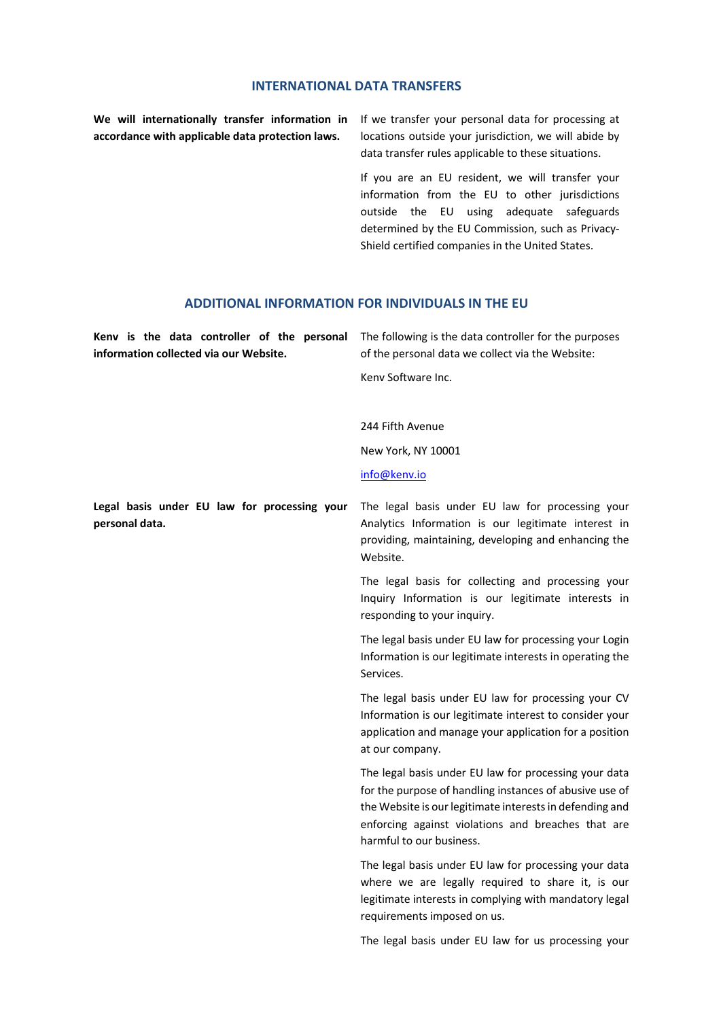#### **INTERNATIONAL DATA TRANSFERS**

**We will internationally transfer information in accordance with applicable data protection laws.** 

If we transfer your personal data for processing at locations outside your jurisdiction, we will abide by data transfer rules applicable to these situations.

If you are an EU resident, we will transfer your information from the EU to other jurisdictions outside the EU using adequate safeguards determined by the EU Commission, such as Privacy-Shield certified companies in the United States.

#### **ADDITIONAL INFORMATION FOR INDIVIDUALS IN THE EU**

|                                        | <b>Keny is the data controller of the personal</b> The following is the data controller for the purposes |
|----------------------------------------|----------------------------------------------------------------------------------------------------------|
| information collected via our Website. | of the personal data we collect via the Website:                                                         |
|                                        | Keny Software Inc.                                                                                       |

244 Fifth Avenue

New York, NY 10001

info@kenv.io

**Legal basis under EU law for processing your personal data.**

The legal basis under EU law for processing your Analytics Information is our legitimate interest in providing, maintaining, developing and enhancing the Website.

The legal basis for collecting and processing your Inquiry Information is our legitimate interests in responding to your inquiry.

The legal basis under EU law for processing your Login Information is our legitimate interests in operating the Services.

The legal basis under EU law for processing your CV Information is our legitimate interest to consider your application and manage your application for a position at our company.

The legal basis under EU law for processing your data for the purpose of handling instances of abusive use of the Website is our legitimate interests in defending and enforcing against violations and breaches that are harmful to our business.

The legal basis under EU law for processing your data where we are legally required to share it, is our legitimate interests in complying with mandatory legal requirements imposed on us.

The legal basis under EU law for us processing your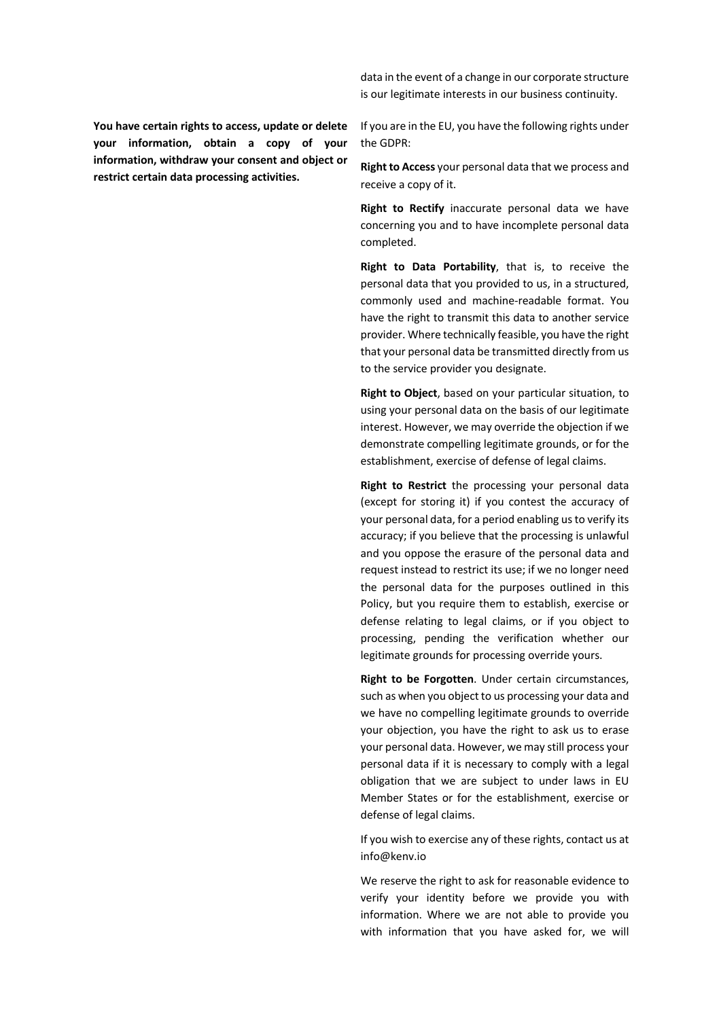**You have certain rights to access, update or delete your information, obtain a copy of your information, withdraw your consent and object or restrict certain data processing activities.**

data in the event of a change in our corporate structure is our legitimate interests in our business continuity.

If you are in the EU, you have the following rights under the GDPR:

**Right to Access** your personal data that we process and receive a copy of it.

**Right to Rectify** inaccurate personal data we have concerning you and to have incomplete personal data completed.

**Right to Data Portability**, that is, to receive the personal data that you provided to us, in a structured, commonly used and machine-readable format. You have the right to transmit this data to another service provider. Where technically feasible, you have the right that your personal data be transmitted directly from us to the service provider you designate.

**Right to Object**, based on your particular situation, to using your personal data on the basis of our legitimate interest. However, we may override the objection if we demonstrate compelling legitimate grounds, or for the establishment, exercise of defense of legal claims.

**Right to Restrict** the processing your personal data (except for storing it) if you contest the accuracy of your personal data, for a period enabling us to verify its accuracy; if you believe that the processing is unlawful and you oppose the erasure of the personal data and request instead to restrict its use; if we no longer need the personal data for the purposes outlined in this Policy, but you require them to establish, exercise or defense relating to legal claims, or if you object to processing, pending the verification whether our legitimate grounds for processing override yours.

**Right to be Forgotten**. Under certain circumstances, such as when you object to us processing your data and we have no compelling legitimate grounds to override your objection, you have the right to ask us to erase your personal data. However, we may still process your personal data if it is necessary to comply with a legal obligation that we are subject to under laws in EU Member States or for the establishment, exercise or defense of legal claims.

If you wish to exercise any of these rights, contact us at info@kenv.io

We reserve the right to ask for reasonable evidence to verify your identity before we provide you with information. Where we are not able to provide you with information that you have asked for, we will